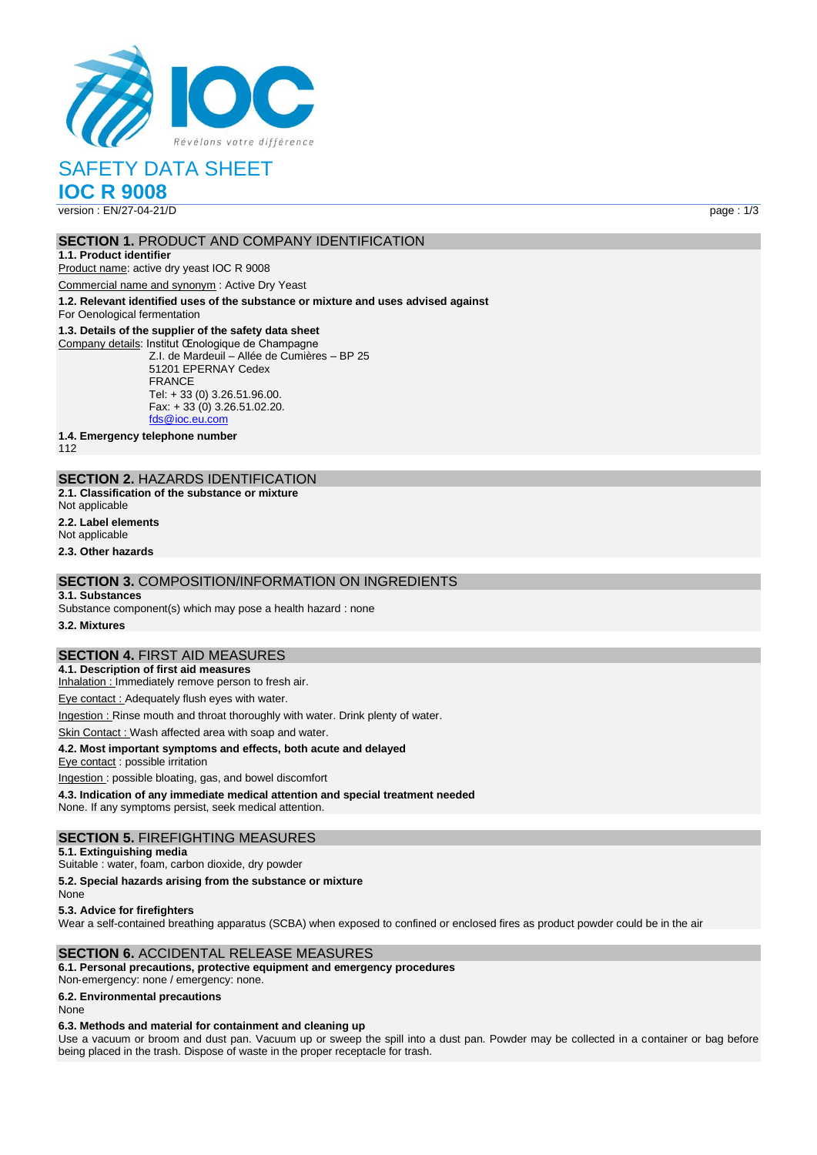

# SAFETY DATA SHEET

**IOC R 9008**

version : EN/27-04-21/D page : 1/3

#### **SECTION 1. PRODUCT AND COMPANY IDENTIFICATION**

#### **1.1. Product identifier**

Product name: active dry yeast IOC R 9008

Commercial name and synonym : Active Dry Yeast

**1.2. Relevant identified uses of the substance or mixture and uses advised against**

For Oenological fermentation

#### **1.3. Details of the supplier of the safety data sheet**

Company details: Institut Œnologique de Champagne Z.I. de Mardeuil – Allée de Cumières – BP 25 51201 EPERNAY Cedex FRANCE Tel: + 33 (0) 3.26.51.96.00. Fax: + 33 (0) 3.26.51.02.20. [fds@ioc.eu.com](mailto:fds@ioc.eu.com)

**1.4. Emergency telephone number**

112

## **SECTION 2.** HAZARDS IDENTIFICATION

**2.1. Classification of the substance or mixture**

Not applicable

#### **2.2. Label elements**

Not applicable

**2.3. Other hazards**

## **SECTION 3.** COMPOSITION/INFORMATION ON INGREDIENTS

#### **3.1. Substances**

Substance component(s) which may pose a health hazard : none

**3.2. Mixtures**

## **SECTION 4.** FIRST AID MEASURES

**4.1. Description of first aid measures**

Inhalation : Immediately remove person to fresh air.

Eye contact : Adequately flush eyes with water.

Ingestion : Rinse mouth and throat thoroughly with water. Drink plenty of water.

Skin Contact : Wash affected area with soap and water.

#### **4.2. Most important symptoms and effects, both acute and delayed**

Eye contact : possible irritation

Ingestion : possible bloating, gas, and bowel discomfort

**4.3. Indication of any immediate medical attention and special treatment needed** None. If any symptoms persist, seek medical attention.

#### **SECTION 5.** FIREFIGHTING MEASURES

#### **5.1. Extinguishing media**

Suitable : water, foam, carbon dioxide, dry powder

**5.2. Special hazards arising from the substance or mixture**

None

**5.3. Advice for firefighters**

Wear a self-contained breathing apparatus (SCBA) when exposed to confined or enclosed fires as product powder could be in the air

#### **SECTION 6.** ACCIDENTAL RELEASE MEASURES

#### **6.1. Personal precautions, protective equipment and emergency procedures**

Non‐emergency: none / emergency: none.

**6.2. Environmental precautions**

None

#### **6.3. Methods and material for containment and cleaning up**

Use a vacuum or broom and dust pan. Vacuum up or sweep the spill into a dust pan. Powder may be collected in a container or bag before being placed in the trash. Dispose of waste in the proper receptacle for trash.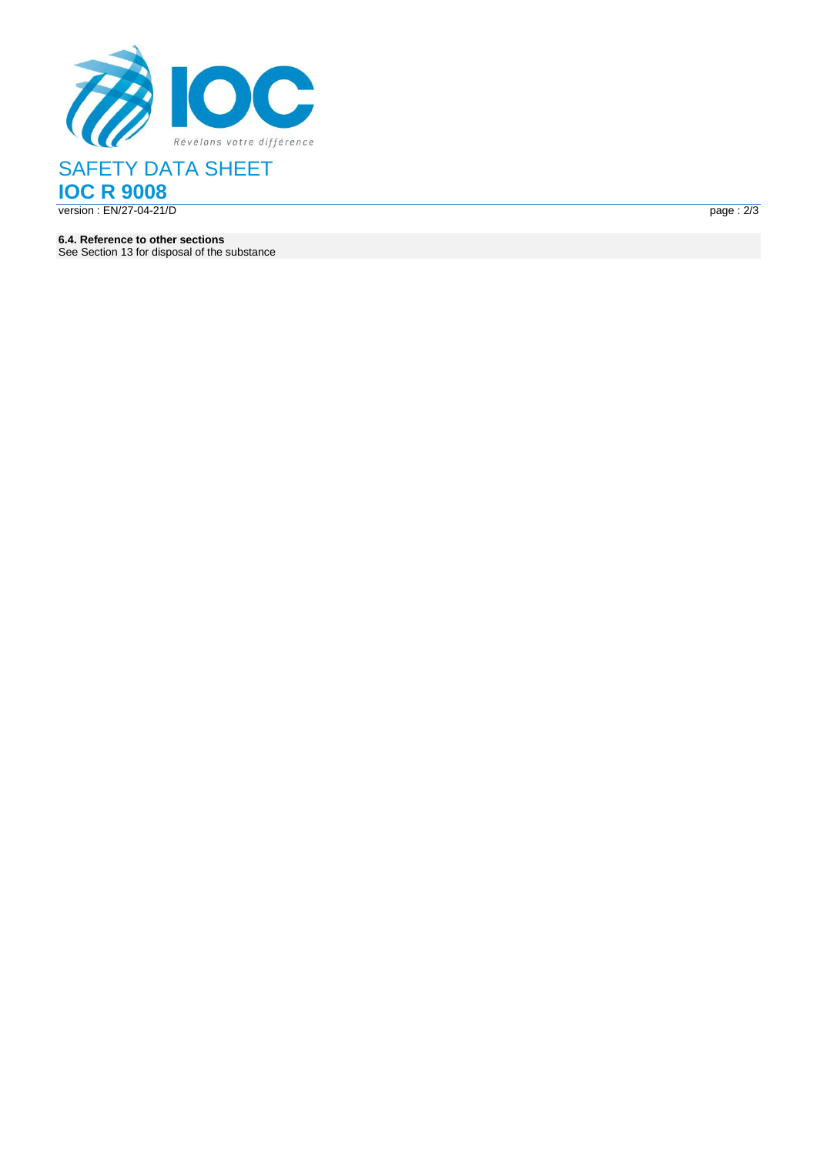

## SAFETY DATA SHEET **IOC R 9008** version : EN/27-04-21/ D page : the contract of the contract of the contract of the contract of the contract of the contract of the contract of the contract of the contract of the contract of the contract of the contract of the contract of the c

 $page: 2/3$ 

**6.4. Reference to other sections** See Section 13 for disposal of the substance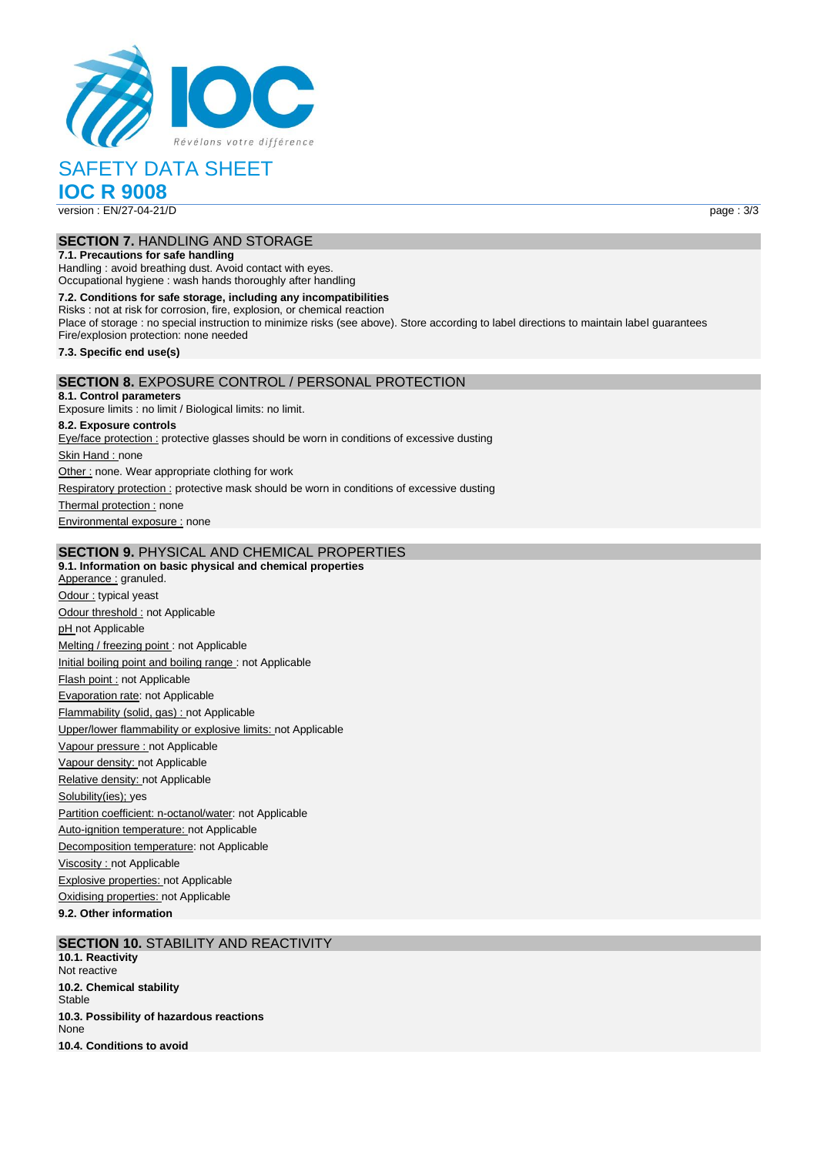

# SAFETY DATA SHEET

**IOC R 9008**

version : EN/27-04-21/D page : 3/3

## **SECTION 7.** HANDLING AND STORAGE

**7.1. Precautions for safe handling** Handling : avoid breathing dust. Avoid contact with eyes. Occupational hygiene : wash hands thoroughly after handling

**7.2. Conditions for safe storage, including any incompatibilities** Risks : not at risk for corrosion, fire, explosion, or chemical reaction Place of storage : no special instruction to minimize risks (see above). Store according to label directions to maintain label guarantees Fire/explosion protection: none needed **7.3. Specific end use(s) SECTION 8.** EXPOSURE CONTROL / PERSONAL PROTECTION **8.1. Control parameters**

Exposure limits : no limit / Biological limits: no limit. **8.2. Exposure controls** Eye/face protection : protective glasses should be worn in conditions of excessive dusting

Skin Hand : none Other : none. Wear appropriate clothing for work Respiratory protection : protective mask should be worn in conditions of excessive dusting Thermal protection : none Environmental exposure : none

#### **SECTION 9.** PHYSICAL AND CHEMICAL PROPERTIES

**9.1. Information on basic physical and chemical properties** Apperance : granuled. Odour : typical yeast Odour threshold : not Applicable pH not Applicable Melting / freezing point : not Applicable Initial boiling point and boiling range : not Applicable Flash point : not Applicable Evaporation rate: not Applicable Flammability (solid, gas) : not Applicable Upper/lower flammability or explosive limits: not Applicable Vapour pressure : not Applicable Vapour density: not Applicable Relative density: not Applicable Solubility(ies); yes Partition coefficient: n-octanol/water: not Applicable Auto-ignition temperature: not Applicable Decomposition temperature: not Applicable Viscosity : not Applicable **Explosive properties: not Applicable** Oxidising properties: not Applicable

**9.2. Other information**

**SECTION 10.** STABILITY AND REACTIVITY **10.1. Reactivity** Not reactive **10.2. Chemical stability Stable 10.3. Possibility of hazardous reactions**

None **10.4. Conditions to avoid**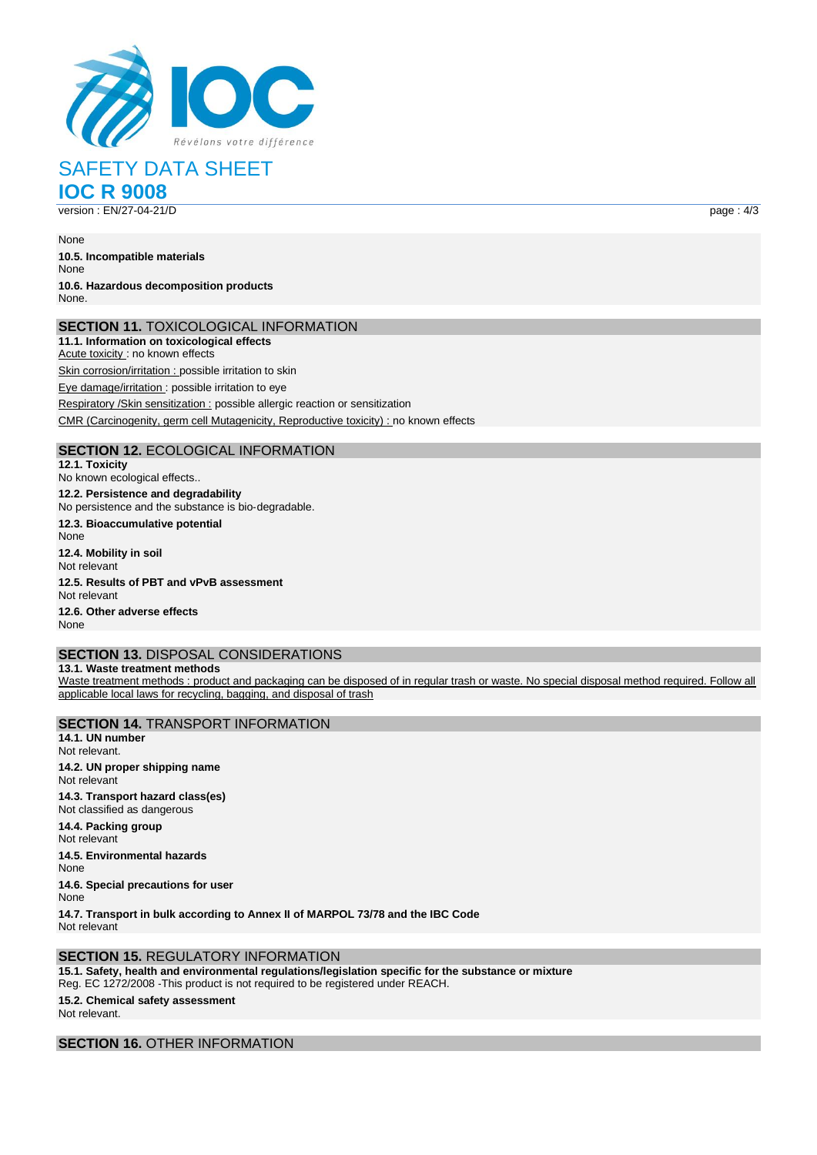

SAFETY DATA SHEET **IOC R 9008**

version : EN/27-04-21/D page : 4/3

None

**10.5. Incompatible materials** None **10.6. Hazardous decomposition products** None.

#### **SECTION 11.** TOXICOLOGICAL INFORMATION

**11.1. Information on toxicological effects** Acute toxicity : no known effects

Skin corrosion/irritation : possible irritation to skin

Eye damage/irritation : possible irritation to eye

Respiratory /Skin sensitization : possible allergic reaction or sensitization

CMR (Carcinogenity, germ cell Mutagenicity, Reproductive toxicity) : no known effects

## **SECTION 12.** ECOLOGICAL INFORMATION

**12.1. Toxicity** No known ecological effects.. **12.2. Persistence and degradability** No persistence and the substance is bio‐degradable. **12.3. Bioaccumulative potential** None **12.4. Mobility in soil** Not relevant **12.5. Results of PBT and vPvB assessment** Not relevant **12.6. Other adverse effects** None

## **SECTION 13.** DISPOSAL CONSIDERATIONS

**13.1. Waste treatment methods** Waste treatment methods : product and packaging can be disposed of in regular trash or waste. No special disposal method required. Follow all applicable local laws for recycling, bagging, and disposal of trash

**SECTION 14.** TRANSPORT INFORMATION **14.1. UN number** Not relevant. **14.2. UN proper shipping name** Not relevant **14.3. Transport hazard class(es)** Not classified as dangerous **14.4. Packing group** Not relevant **14.5. Environmental hazards** None **14.6. Special precautions for user** None **14.7. Transport in bulk according to Annex II of MARPOL 73/78 and the IBC Code**

**SECTION 15.** REGULATORY INFORMATION **15.1. Safety, health and environmental regulations/legislation specific for the substance or mixture** Reg. EC 1272/2008 ‐This product is not required to be registered under REACH.

## **15.2. Chemical safety assessment**

Not relevant.

Not relevant

**SECTION 16.** OTHER INFORMATION